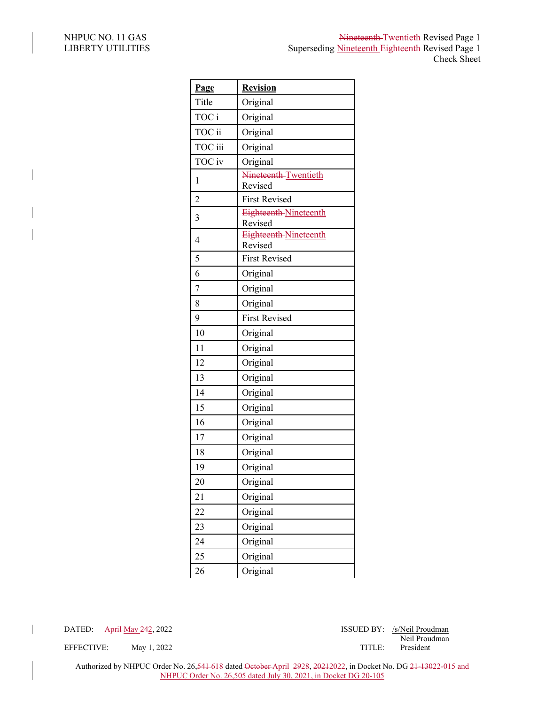| Page           | <b>Revision</b>                         |
|----------------|-----------------------------------------|
| Title          | Original                                |
| TOC i          | Original                                |
| TOC ii         | Original                                |
| TOC iii        | Original                                |
| TOC iv         | Original                                |
| 1              | Nineteenth-Twentieth<br>Revised         |
| $\overline{2}$ | <b>First Revised</b>                    |
| 3              | Eighteenth-Nineteenth<br>Revised        |
| $\overline{4}$ | <b>Eighteenth Nineteenth</b><br>Revised |
| 5              | <b>First Revised</b>                    |
| 6              | Original                                |
| 7              | Original                                |
| 8              | Original                                |
| 9              | <b>First Revised</b>                    |
| 10             | Original                                |
| 11             | Original                                |
| 12             | Original                                |
| 13             | Original                                |
| 14             | Original                                |
| 15             | Original                                |
| 16             | Original                                |
| 17             | Original                                |
| 18             | Original                                |
| 19             | Original                                |
| 20             | Original                                |
| 21             | Original                                |
| 22             | Original                                |
| 23             | Original                                |
| 24             | Original                                |
| 25             | Original                                |
| 26             | Original                                |

DATED: April May 242, 2022 **ISSUED BY**: /s/Neil Proudman Neil Proudman

EFFECTIVE: May 1, 2022 TITLE: President

Authorized by NHPUC Order No. 26,<del>541 618</del> dated <del>October April 2928, 20212022</del>, in Docket No. DG <del>21-13022-015</del> and NHPUC Order No. 26,505 dated July 30, 2021, in Docket DG 20-105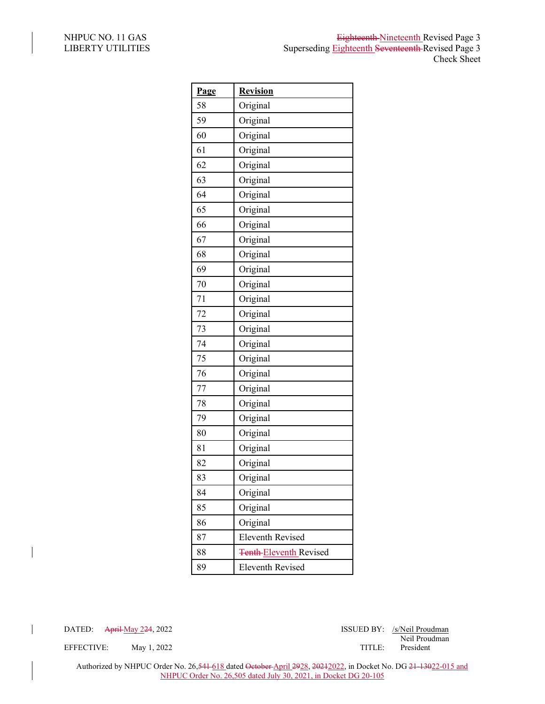| Page | <b>Revision</b>               |
|------|-------------------------------|
| 58   | Original                      |
| 59   | Original                      |
| 60   | Original                      |
| 61   | Original                      |
| 62   | Original                      |
| 63   | Original                      |
| 64   | Original                      |
| 65   | Original                      |
| 66   | Original                      |
| 67   | Original                      |
| 68   | Original                      |
| 69   | Original                      |
| 70   | Original                      |
| 71   | Original                      |
| 72   | Original                      |
| 73   | Original                      |
| 74   | Original                      |
| 75   | Original                      |
| 76   | Original                      |
| 77   | Original                      |
| 78   | Original                      |
| 79   | Original                      |
| 80   | Original                      |
| 81   | Original                      |
| 82   | Original                      |
| 83   | Original                      |
| 84   | Original                      |
| 85   | Original                      |
| 86   | Original                      |
| 87   | <b>Eleventh Revised</b>       |
| 88   | <b>Tenth Eleventh Revised</b> |
| 89   | <b>Eleventh Revised</b>       |

 $\overline{\phantom{a}}$ 

DATED: April May 224, 2022 ISSUED BY: /s/Neil Proudman Neil Proudman

EFFECTIVE: May 1, 2022 TITLE: President

Authorized by NHPUC Order No. 26,<del>541 618</del> dated <del>October April 2928, 20212022</del>, in Docket No. DG <del>21-13022-015 and</del> NHPUC Order No. 26,505 dated July 30, 2021, in Docket DG 20-105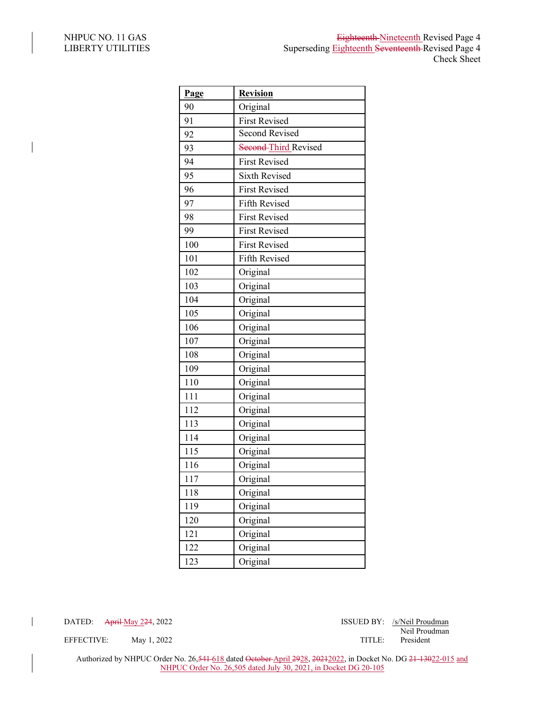$\overline{\phantom{a}}$ 

| Page | <b>Revision</b>      |
|------|----------------------|
| 90   | Original             |
| 91   | <b>First Revised</b> |
| 92   | Second Revised       |
| 93   | Second-Third Revised |
| 94   | <b>First Revised</b> |
| 95   | <b>Sixth Revised</b> |
| 96   | <b>First Revised</b> |
| 97   | Fifth Revised        |
| 98   | <b>First Revised</b> |
| 99   | <b>First Revised</b> |
| 100  | <b>First Revised</b> |
| 101  | Fifth Revised        |
| 102  | Original             |
| 103  | Original             |
| 104  | Original             |
| 105  | Original             |
| 106  | Original             |
| 107  | Original             |
| 108  | Original             |
| 109  | Original             |
| 110  | Original             |
| 111  | Original             |
| 112  | Original             |
| 113  | Original             |
| 114  | Original             |
| 115  | Original             |
| 116  | Original             |
| 117  | Original             |
| 118  | Original             |
| 119  | Original             |
| 120  | Original             |
| 121  | Original             |
| 122  | Original             |
| 123  | Original             |

DATED: April May 224, 2022 ISSUED BY: /s/Neil Proudman

 $\overline{\phantom{a}}$ 

Neil Proudman

EFFECTIVE: May 1, 2022 TITLE:

Authorized by NHPUC Order No. 26,541-618 dated October April 2928, 20212022, in Docket No. DG 21-13022-015 and NHPUC Order No. 26,505 dated July 30, 2021, in Docket DG 20-105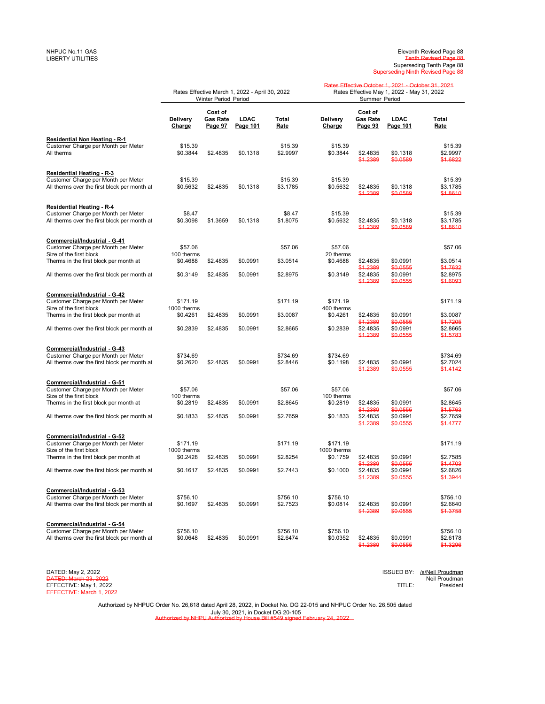## Eleventh Revised Page 88<br>Tenth Revised Page 88 Superseding Tenth Page 88 Superseding Ninth Revised Page 88

|                                                                                                                     | Rates Effective March 1, 2022 - April 30, 2022<br>Winter Period Period |                                |                  |                      | Rates Effective October 1, 2021 October 31, 2021<br>Rates Effective May 1, 2022 - May 31, 2022<br>Summer Period |                                       |                                  |                                   |
|---------------------------------------------------------------------------------------------------------------------|------------------------------------------------------------------------|--------------------------------|------------------|----------------------|-----------------------------------------------------------------------------------------------------------------|---------------------------------------|----------------------------------|-----------------------------------|
|                                                                                                                     | Delivery<br>Charge                                                     | Cost of<br>Gas Rate<br>Page 97 | LDAC<br>Page 101 | Total<br>Rate        | Delivery<br>Charge                                                                                              | Cost of<br><b>Gas Rate</b><br>Page 93 | LDAC<br>Page 101                 | Total<br>Rate                     |
| Residential Non Heating - R-1<br>Customer Charge per Month per Meter<br>All therms                                  | \$15.39<br>\$0.3844                                                    | \$2.4835                       | \$0.1318         | \$15.39<br>\$2.9997  | \$15.39<br>\$0.3844                                                                                             | \$2.4835<br>\$1.2389                  | \$0.1318<br>\$0.0589             | \$15.39<br>\$2.9997<br>\$1.6822   |
| Residential Heating - R-3<br>Customer Charge per Month per Meter<br>All therms over the first block per month at    | \$15.39<br>\$0.5632                                                    | \$2.4835                       | \$0.1318         | \$15.39<br>\$3.1785  | \$15.39<br>\$0.5632                                                                                             | \$2.4835<br>\$1.2389                  | \$0.1318<br>\$0.0589             | \$15.39<br>\$3.1785<br>\$1.8610   |
| Residential Heating - R-4                                                                                           |                                                                        |                                |                  |                      |                                                                                                                 |                                       |                                  |                                   |
| Customer Charge per Month per Meter<br>All therms over the first block per month at                                 | \$8.47<br>\$0.3098                                                     | \$1.3659                       | \$0.1318         | \$8.47<br>\$1.8075   | \$15.39<br>\$0.5632                                                                                             | \$2.4835<br>\$1,2389                  | \$0.1318<br>\$0,0589             | \$15.39<br>\$3.1785<br>\$1.8610   |
| Commercial/Industrial - G-41<br>Customer Charge per Month per Meter<br>Size of the first block                      | \$57.06<br>100 therms                                                  |                                |                  | \$57.06              | \$57.06<br>20 therms                                                                                            |                                       |                                  | \$57.06                           |
| Therms in the first block per month at                                                                              | \$0.4688                                                               | \$2.4835                       | \$0.0991         | \$3.0514             | \$0.4688                                                                                                        | \$2.4835                              | \$0.0991                         | \$3.0514                          |
| All therms over the first block per month at                                                                        | \$0.3149                                                               | \$2.4835                       | \$0.0991         | \$2.8975             | \$0.3149                                                                                                        | \$1.2389<br>\$2.4835<br>\$1.2389      | \$0.0555<br>\$0.0991<br>\$0.0555 | \$1.7632<br>\$2.8975<br>\$1.6093  |
| Commercial/Industrial - G-42<br>Customer Charge per Month per Meter<br>Size of the first block                      | \$171.19<br>1000 therms                                                |                                |                  | \$171.19             | \$171.19<br>400 therms                                                                                          |                                       |                                  | \$171.19                          |
| Therms in the first block per month at                                                                              | \$0.4261                                                               | \$2.4835                       | \$0.0991         | \$3.0087             | \$0.4261                                                                                                        | \$2.4835<br>\$1.2389                  | \$0.0991<br>\$0.0555             | \$3.0087<br>\$1.7205              |
| All therms over the first block per month at                                                                        | \$0.2839                                                               | \$2.4835                       | \$0.0991         | \$2.8665             | \$0.2839                                                                                                        | \$2.4835<br>\$1.2389                  | \$0.0991<br>\$0.0555             | \$2.8665<br>\$1.5783              |
| Commercial/Industrial - G-43<br>Customer Charge per Month per Meter<br>All therms over the first block per month at | \$734.69<br>\$0.2620                                                   | \$2.4835                       | \$0.0991         | \$734.69<br>\$2.8446 | \$734.69<br>\$0.1198                                                                                            | \$2.4835<br>\$1.2389                  | \$0.0991<br>\$0.0555             | \$734.69<br>\$2.7024<br>\$1.4142  |
| Commercial/Industrial - G-51<br>Customer Charge per Month per Meter<br>Size of the first block                      | \$57.06<br>100 therms                                                  |                                |                  | \$57.06              | \$57.06<br>100 therms                                                                                           |                                       |                                  | \$57.06                           |
| Therms in the first block per month at                                                                              | \$0.2819                                                               | \$2.4835                       | \$0.0991         | \$2.8645             | \$0.2819                                                                                                        | \$2.4835                              | \$0.0991                         | \$2.8645                          |
| All therms over the first block per month at                                                                        | \$0.1833                                                               | \$2.4835                       | \$0.0991         | \$2.7659             | \$0.1833                                                                                                        | \$1.2389<br>\$2.4835<br>\$1.2389      | \$0.0555<br>\$0.0991<br>\$0,0555 | \$1.5763<br>\$2.7659<br>\$1,4777  |
| Commercial/Industrial - G-52<br>Customer Charge per Month per Meter                                                 | \$171.19                                                               |                                |                  | \$171.19             | \$171.19                                                                                                        |                                       |                                  | \$171.19                          |
| Size of the first block<br>Therms in the first block per month at                                                   | 1000 therms<br>\$0.2428                                                | \$2.4835                       | \$0.0991         | \$2.8254             | 1000 therms<br>\$0.1759                                                                                         | \$2.4835                              | \$0.0991                         | \$2.7585                          |
| All therms over the first block per month at                                                                        | \$0.1617                                                               | \$2.4835                       | \$0.0991         | \$2.7443             | \$0.1000                                                                                                        | \$1.2389<br>\$2.4835<br>\$1,2389      | \$0.0555<br>\$0.0991<br>\$0.0555 | \$1.4703<br>\$2.6826<br>\$1.3944  |
| Commercial/Industrial - G-53                                                                                        |                                                                        |                                |                  |                      |                                                                                                                 |                                       |                                  |                                   |
| Customer Charge per Month per Meter<br>All therms over the first block per month at                                 | \$756.10<br>\$0.1697                                                   | \$2.4835                       | \$0.0991         | \$756.10<br>\$2.7523 | \$756.10<br>\$0.0814                                                                                            | \$2.4835<br>\$1.2389                  | \$0.0991<br>\$0.0555             | \$756.10<br>\$2.6640<br>\$1.3758  |
| Commercial/Industrial - G-54<br>Customer Charge per Month per Meter<br>All therms over the first block per month at | \$756.10<br>\$0.0648                                                   | \$2.4835                       | \$0.0991         | \$756.10<br>\$2.6474 | \$756.10<br>\$0.0352                                                                                            | \$2.4835<br>\$1,2389                  | \$0.0991<br>\$0.0555             | \$756.10<br>\$2.6178<br>\$1,3296  |
| DATED: May 2, 2022<br><b>DATED: March 23, 2022</b>                                                                  |                                                                        |                                |                  |                      |                                                                                                                 |                                       | ISSUED BY:                       | /s/Neil Proudman<br>Neil Proudman |

Authorized by NHPUC Order No. 26,618 dated April 28, 2022, in Docket No. DG 22-015 and NHPUC Order No. 26,505 dated July 30, 2021, in Docket DG 20-105

EFFECTIVE: May 1, 2022 TITLE: President EFFECTIVE: March 1, 2022

Authorized by NHPU Authorized by House Bill #549 signed February 24, 2022